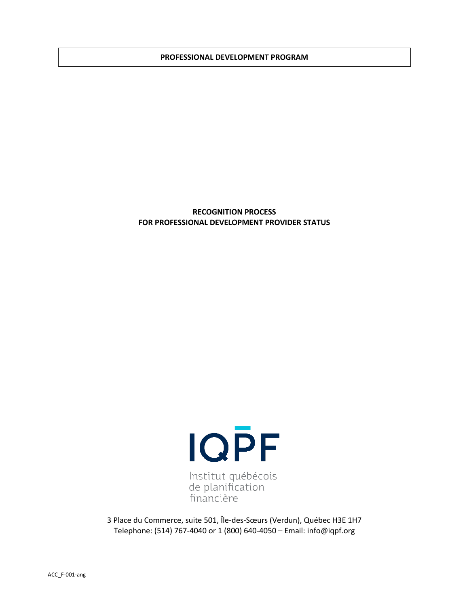#### **PROFESSIONAL DEVELOPMENT PROGRAM**

## **RECOGNITION PROCESS FOR PROFESSIONAL DEVELOPMENT PROVIDER STATUS**



3 Place du Commerce, suite 501, Île-des-Sœurs (Verdun), Québec H3E 1H7 Telephone: (514) 767-4040 or 1 (800) 640-4050 – Email: info@iqpf.org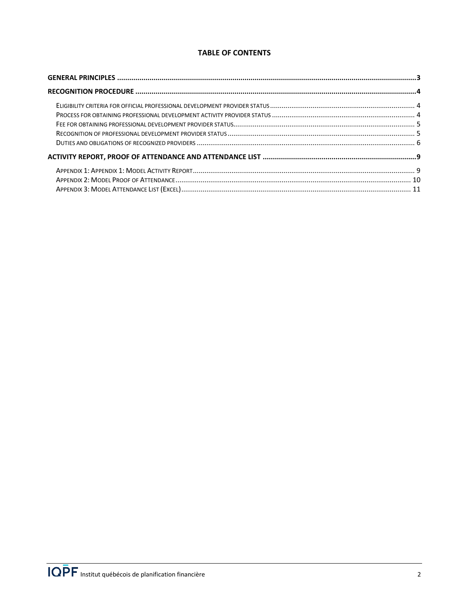# **TABLE OF CONTENTS**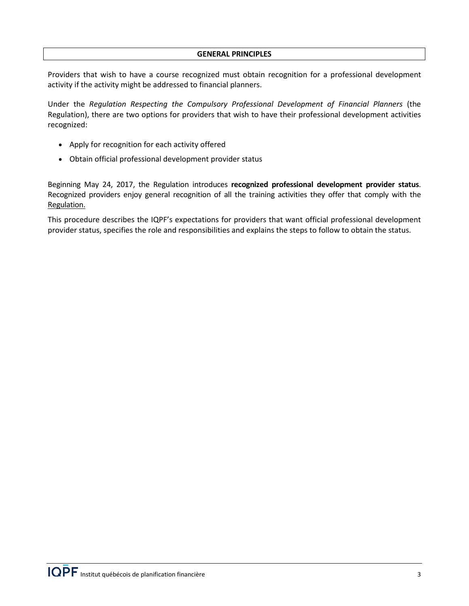## **GENERAL PRINCIPLES**

<span id="page-2-0"></span>Providers that wish to have a course recognized must obtain recognition for a professional development activity if the activity might be addressed to financial planners.

Under the *Regulation Respecting the Compulsory Professional Development of Financial Planners* (the Regulation), there are two options for providers that wish to have their professional development activities recognized:

- Apply for recognition for each activity offered
- Obtain official professional development provider status

Beginning May 24, 2017, the Regulation introduces **recognized professional development provider status**. Recognized providers enjoy general recognition of all the training activities they offer that comply with the Regulation.

This procedure describes the IQPF's expectations for providers that want official professional development provider status, specifies the role and responsibilities and explains the steps to follow to obtain the status.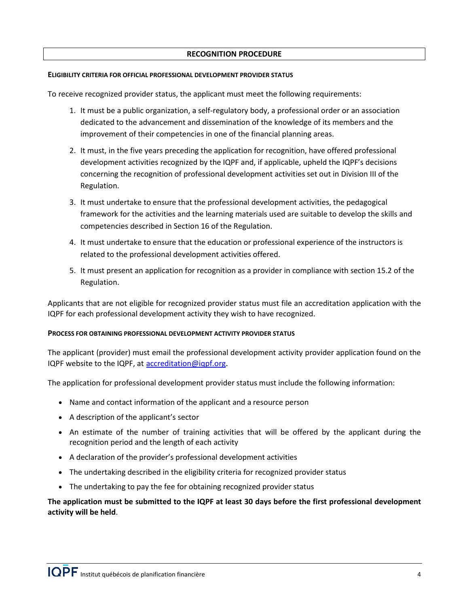## **RECOGNITION PROCEDURE**

## <span id="page-3-1"></span><span id="page-3-0"></span>**ELIGIBILITY CRITERIA FOR OFFICIAL PROFESSIONAL DEVELOPMENT PROVIDER STATUS**

To receive recognized provider status, the applicant must meet the following requirements:

- 1. It must be a public organization, a self-regulatory body, a professional order or an association dedicated to the advancement and dissemination of the knowledge of its members and the improvement of their competencies in one of the financial planning areas.
- 2. It must, in the five years preceding the application for recognition, have offered professional development activities recognized by the IQPF and, if applicable, upheld the IQPF's decisions concerning the recognition of professional development activities set out in Division III of the Regulation.
- 3. It must undertake to ensure that the professional development activities, the pedagogical framework for the activities and the learning materials used are suitable to develop the skills and competencies described in Section 16 of the Regulation.
- 4. It must undertake to ensure that the education or professional experience of the instructors is related to the professional development activities offered.
- 5. It must present an application for recognition as a provider in compliance with section 15.2 of the Regulation.

Applicants that are not eligible for recognized provider status must file an accreditation application with the IQPF for each professional development activity they wish to have recognized.

## <span id="page-3-2"></span>**PROCESS FOR OBTAINING PROFESSIONAL DEVELOPMENT ACTIVITY PROVIDER STATUS**

The applicant (provider) must email the professional development activity provider application found on the IQPF website to the IQPF, at [accreditation@iqpf.org](mailto:accreditation@iqpf.org).

The application for professional development provider status must include the following information:

- Name and contact information of the applicant and a resource person
- A description of the applicant's sector
- An estimate of the number of training activities that will be offered by the applicant during the recognition period and the length of each activity
- A declaration of the provider's professional development activities
- The undertaking described in the eligibility criteria for recognized provider status
- The undertaking to pay the fee for obtaining recognized provider status

**The application must be submitted to the IQPF at least 30 days before the first professional development activity will be held**.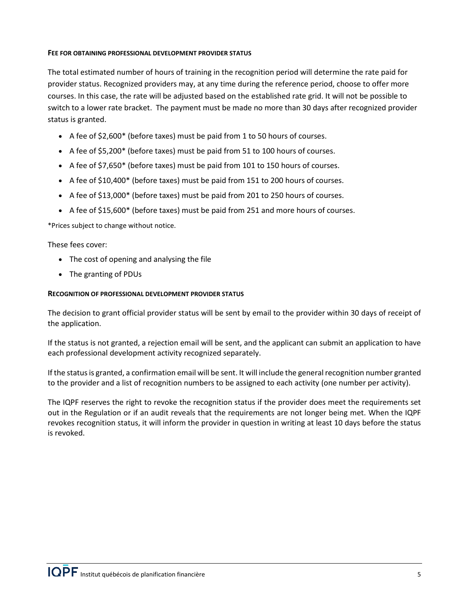# <span id="page-4-0"></span>**FEE FOR OBTAINING PROFESSIONAL DEVELOPMENT PROVIDER STATUS**

The total estimated number of hours of training in the recognition period will determine the rate paid for provider status. Recognized providers may, at any time during the reference period, choose to offer more courses. In this case, the rate will be adjusted based on the established rate grid. It will not be possible to switch to a lower rate bracket. The payment must be made no more than 30 days after recognized provider status is granted.

- A fee of \$2,600\* (before taxes) must be paid from 1 to 50 hours of courses.
- A fee of \$5,200\* (before taxes) must be paid from 51 to 100 hours of courses.
- A fee of \$7,650\* (before taxes) must be paid from 101 to 150 hours of courses.
- A fee of \$10,400\* (before taxes) must be paid from 151 to 200 hours of courses.
- A fee of \$13,000\* (before taxes) must be paid from 201 to 250 hours of courses.
- A fee of \$15,600\* (before taxes) must be paid from 251 and more hours of courses.

\*Prices subject to change without notice.

<span id="page-4-1"></span>These fees cover:

- The cost of opening and analysing the file
- The granting of PDUs

## **RECOGNITION OF PROFESSIONAL DEVELOPMENT PROVIDER STATUS**

The decision to grant official provider status will be sent by email to the provider within 30 days of receipt of the application.

If the status is not granted, a rejection email will be sent, and the applicant can submit an application to have each professional development activity recognized separately.

If the status is granted, a confirmation email will be sent. It will include the general recognition number granted to the provider and a list of recognition numbers to be assigned to each activity (one number per activity).

The IQPF reserves the right to revoke the recognition status if the provider does meet the requirements set out in the Regulation or if an audit reveals that the requirements are not longer being met. When the IQPF revokes recognition status, it will inform the provider in question in writing at least 10 days before the status is revoked.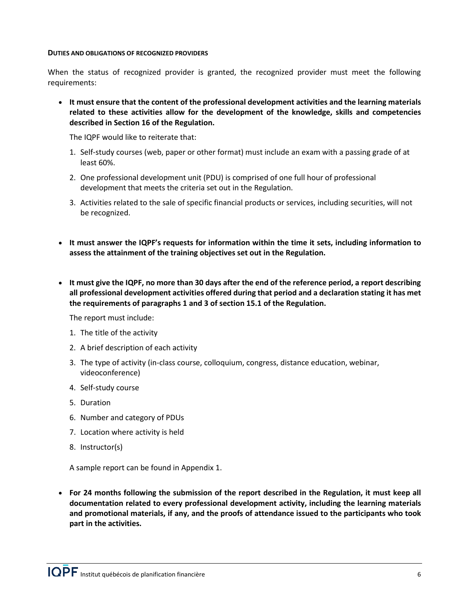#### <span id="page-5-0"></span>**DUTIES AND OBLIGATIONS OF RECOGNIZED PROVIDERS**

When the status of recognized provider is granted, the recognized provider must meet the following requirements:

• **It must ensure that the content of the professional development activities and the learning materials related to these activities allow for the development of the knowledge, skills and competencies described in Section 16 of the Regulation.**

The IQPF would like to reiterate that:

- 1. Self-study courses (web, paper or other format) must include an exam with a passing grade of at least 60%.
- 2. One professional development unit (PDU) is comprised of one full hour of professional development that meets the criteria set out in the Regulation.
- 3. Activities related to the sale of specific financial products or services, including securities, will not be recognized.
- **It must answer the IQPF's requests for information within the time it sets, including information to assess the attainment of the training objectives set out in the Regulation.**
- **It must give the IQPF, no more than 30 days after the end of the reference period, a report describing all professional development activities offered during that period and a declaration stating it has met the requirements of paragraphs 1 and 3 of section 15.1 of the Regulation.**

The report must include:

- 1. The title of the activity
- 2. A brief description of each activity
- 3. The type of activity (in-class course, colloquium, congress, distance education, webinar, videoconference)
- 4. Self-study course
- 5. Duration
- 6. Number and category of PDUs
- 7. Location where activity is held
- 8. Instructor(s)

A sample report can be found in Appendix 1.

• **For 24 months following the submission of the report described in the Regulation, it must keep all documentation related to every professional development activity, including the learning materials and promotional materials, if any, and the proofs of attendance issued to the participants who took part in the activities.**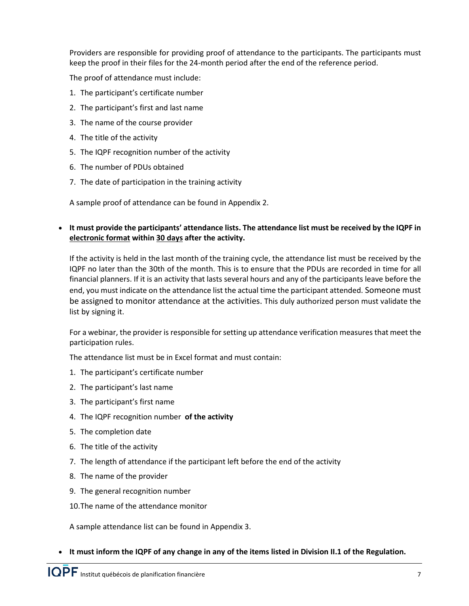Providers are responsible for providing proof of attendance to the participants. The participants must keep the proof in their files for the 24-month period after the end of the reference period.

The proof of attendance must include:

- 1. The participant's certificate number
- 2. The participant's first and last name
- 3. The name of the course provider
- 4. The title of the activity
- 5. The IQPF recognition number of the activity
- 6. The number of PDUs obtained
- 7. The date of participation in the training activity

A sample proof of attendance can be found in Appendix 2.

# • **It must provide the participants' attendance lists. The attendance list must be received by the IQPF in electronic format within 30 days after the activity.**

If the activity is held in the last month of the training cycle, the attendance list must be received by the IQPF no later than the 30th of the month. This is to ensure that the PDUs are recorded in time for all financial planners. If it is an activity that lasts several hours and any of the participants leave before the end, you must indicate on the attendance list the actual time the participant attended. Someone must be assigned to monitor attendance at the activities. This duly authorized person must validate the list by signing it.

For a webinar, the provider is responsible for setting up attendance verification measures that meet the participation rules.

The attendance list must be in Excel format and must contain:

- 1. The participant's certificate number
- 2. The participant's last name
- 3. The participant's first name
- 4. The IQPF recognition number **of the activity**
- 5. The completion date
- 6. The title of the activity
- 7. The length of attendance if the participant left before the end of the activity
- 8. The name of the provider
- 9. The general recognition number
- 10.The name of the attendance monitor

A sample attendance list can be found in Appendix 3.

• **It must inform the IQPF of any change in any of the items listed in Division II.1 of the Regulation.**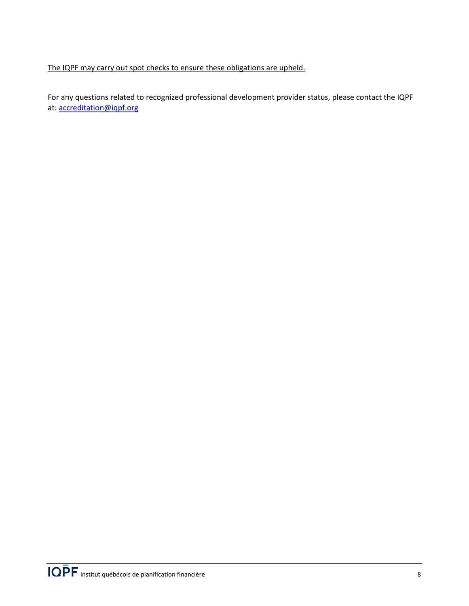The IQPF may carry out spot checks to ensure these obligations are upheld.

For any questions related to recognized professional development provider status, please contact the IQPF at[: accreditation@iqpf.org](mailto:accr%C3%A9ditation@iqpf.org.)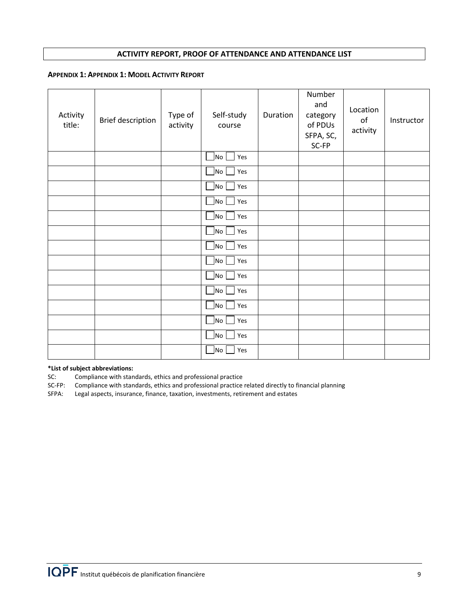## **ACTIVITY REPORT, PROOF OF ATTENDANCE AND ATTENDANCE LIST**

#### <span id="page-8-1"></span><span id="page-8-0"></span>**APPENDIX 1: APPENDIX 1: MODEL ACTIVITY REPORT**

| Activity<br>title: | <b>Brief description</b> | Type of<br>activity | Self-study<br>course | Duration | Number<br>and<br>category<br>of PDUs<br>SFPA, SC,<br>SC-FP | Location<br>of<br>activity | Instructor |
|--------------------|--------------------------|---------------------|----------------------|----------|------------------------------------------------------------|----------------------------|------------|
|                    |                          |                     | No<br>Yes            |          |                                                            |                            |            |
|                    |                          |                     | $\sqrt{N}$<br>Yes    |          |                                                            |                            |            |
|                    |                          |                     | No<br>Yes            |          |                                                            |                            |            |
|                    |                          |                     | No J<br>Yes          |          |                                                            |                            |            |
|                    |                          |                     | No<br>Yes            |          |                                                            |                            |            |
|                    |                          |                     | $ $ No $ $<br>Yes    |          |                                                            |                            |            |
|                    |                          |                     | No  <br>Yes          |          |                                                            |                            |            |
|                    |                          |                     | No<br>Yes            |          |                                                            |                            |            |
|                    |                          |                     | No<br>Yes            |          |                                                            |                            |            |
|                    |                          |                     | No<br>Yes            |          |                                                            |                            |            |
|                    |                          |                     | $\sqrt{N}$<br>Yes    |          |                                                            |                            |            |
|                    |                          |                     | $\sqrt{N}$<br>Yes    |          |                                                            |                            |            |
|                    |                          |                     | No_<br>Yes           |          |                                                            |                            |            |
|                    |                          |                     | No J<br>Yes          |          |                                                            |                            |            |

# **\*List of subject abbreviations:**

SC: Compliance with standards, ethics and professional practice<br>SC-FP: Compliance with standards, ethics and professional practice

SC-FP: Compliance with standards, ethics and professional practice related directly to financial planning<br>SFPA: Legal aspects, insurance, finance, taxation, investments, retirement and estates

Legal aspects, insurance, finance, taxation, investments, retirement and estates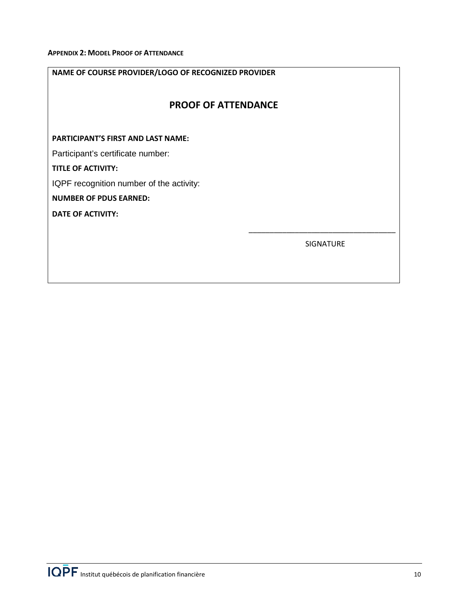# <span id="page-9-0"></span>**NAME OF COURSE PROVIDER/LOGO OF RECOGNIZED PROVIDER**

# **PROOF OF ATTENDANCE**

## **PARTICIPANT'S FIRST AND LAST NAME:**

Participant's certificate number:

**TITLE OF ACTIVITY:** 

IQPF recognition number of the activity:

# **NUMBER OF PDUS EARNED:**

**DATE OF ACTIVITY:** 

SIGNATURE

\_\_\_\_\_\_\_\_\_\_\_\_\_\_\_\_\_\_\_\_\_\_\_\_\_\_\_\_\_\_\_\_\_\_\_